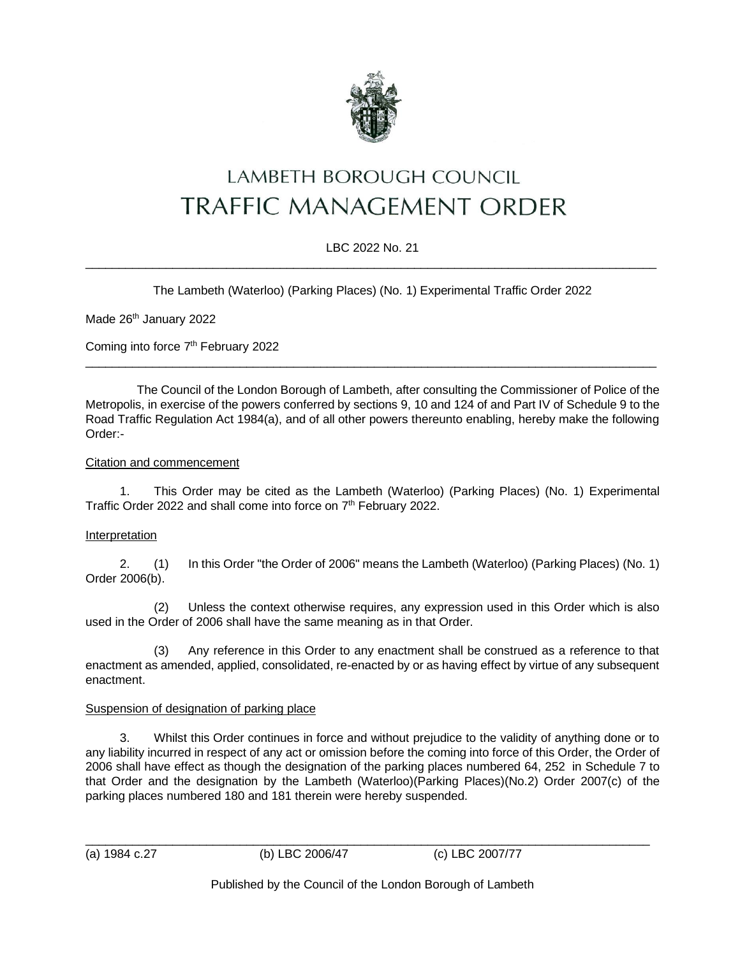

# LAMBETH BOROUGH COUNCIL **TRAFFIC MANAGEMENT ORDER**

# LBC 2022 No. 21  $\_$  , and the set of the set of the set of the set of the set of the set of the set of the set of the set of the set of the set of the set of the set of the set of the set of the set of the set of the set of the set of th

The Lambeth (Waterloo) (Parking Places) (No. 1) Experimental Traffic Order 2022

Made 26<sup>th</sup> January 2022

Coming into force 7<sup>th</sup> February 2022

The Council of the London Borough of Lambeth, after consulting the Commissioner of Police of the Metropolis, in exercise of the powers conferred by sections 9, 10 and 124 of and Part IV of Schedule 9 to the Road Traffic Regulation Act 1984(a), and of all other powers thereunto enabling, hereby make the following Order:-

 $\_$  , and the set of the set of the set of the set of the set of the set of the set of the set of the set of the set of the set of the set of the set of the set of the set of the set of the set of the set of the set of th

#### Citation and commencement

1. This Order may be cited as the Lambeth (Waterloo) (Parking Places) (No. 1) Experimental Traffic Order 2022 and shall come into force on 7<sup>th</sup> February 2022.

# Interpretation

2. (1) In this Order "the Order of 2006" means the Lambeth (Waterloo) (Parking Places) (No. 1) Order 2006(b).

(2) Unless the context otherwise requires, any expression used in this Order which is also used in the Order of 2006 shall have the same meaning as in that Order.

(3) Any reference in this Order to any enactment shall be construed as a reference to that enactment as amended, applied, consolidated, re-enacted by or as having effect by virtue of any subsequent enactment.

# Suspension of designation of parking place

3. Whilst this Order continues in force and without prejudice to the validity of anything done or to any liability incurred in respect of any act or omission before the coming into force of this Order, the Order of 2006 shall have effect as though the designation of the parking places numbered 64, 252 in Schedule 7 to that Order and the designation by the Lambeth (Waterloo)(Parking Places)(No.2) Order 2007(c) of the parking places numbered 180 and 181 therein were hereby suspended.

\_\_\_\_\_\_\_\_\_\_\_\_\_\_\_\_\_\_\_\_\_\_\_\_\_\_\_\_\_\_\_\_\_\_\_\_\_\_\_\_\_\_\_\_\_\_\_\_\_\_\_\_\_\_\_\_\_\_\_\_\_\_\_\_\_\_\_\_\_\_\_\_\_\_\_\_\_\_\_\_\_\_\_\_ (a) 1984 c.27 (b) LBC 2006/47 (c) LBC 2007/77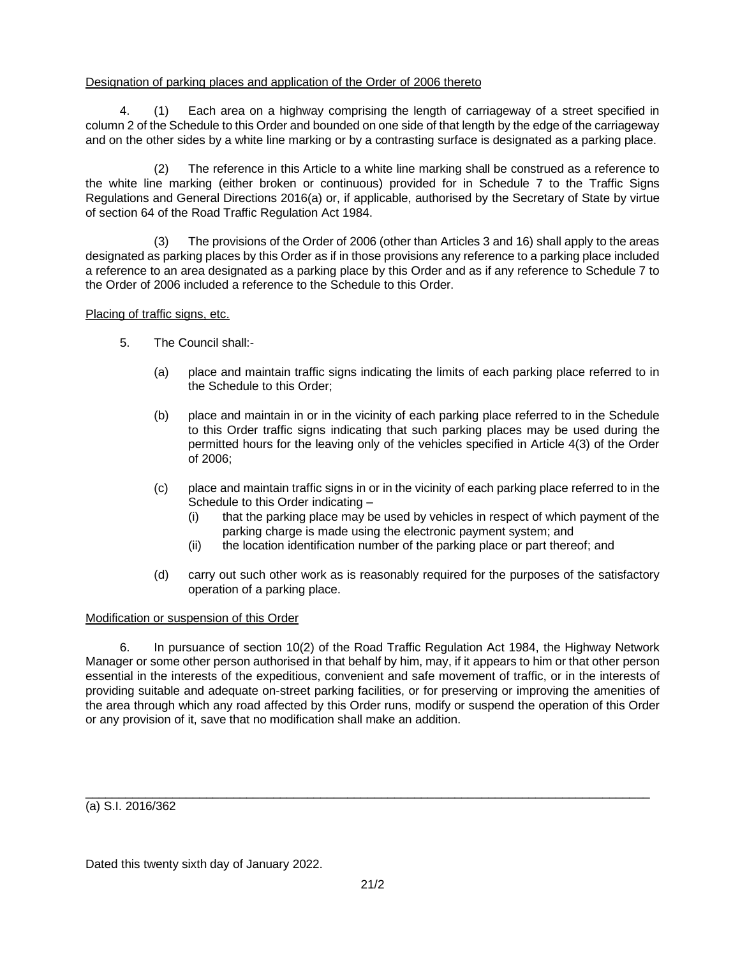## Designation of parking places and application of the Order of 2006 thereto

4. (1) Each area on a highway comprising the length of carriageway of a street specified in column 2 of the Schedule to this Order and bounded on one side of that length by the edge of the carriageway and on the other sides by a white line marking or by a contrasting surface is designated as a parking place.

(2) The reference in this Article to a white line marking shall be construed as a reference to the white line marking (either broken or continuous) provided for in Schedule 7 to the Traffic Signs Regulations and General Directions 2016(a) or, if applicable, authorised by the Secretary of State by virtue of section 64 of the Road Traffic Regulation Act 1984.

(3) The provisions of the Order of 2006 (other than Articles 3 and 16) shall apply to the areas designated as parking places by this Order as if in those provisions any reference to a parking place included a reference to an area designated as a parking place by this Order and as if any reference to Schedule 7 to the Order of 2006 included a reference to the Schedule to this Order.

Placing of traffic signs, etc.

- 5. The Council shall:-
	- (a) place and maintain traffic signs indicating the limits of each parking place referred to in the Schedule to this Order;
	- (b) place and maintain in or in the vicinity of each parking place referred to in the Schedule to this Order traffic signs indicating that such parking places may be used during the permitted hours for the leaving only of the vehicles specified in Article 4(3) of the Order of 2006;
	- (c) place and maintain traffic signs in or in the vicinity of each parking place referred to in the Schedule to this Order indicating –
		- (i) that the parking place may be used by vehicles in respect of which payment of the parking charge is made using the electronic payment system; and
		- (ii) the location identification number of the parking place or part thereof; and
	- (d) carry out such other work as is reasonably required for the purposes of the satisfactory operation of a parking place.

#### Modification or suspension of this Order

6. In pursuance of section 10(2) of the Road Traffic Regulation Act 1984, the Highway Network Manager or some other person authorised in that behalf by him, may, if it appears to him or that other person essential in the interests of the expeditious, convenient and safe movement of traffic, or in the interests of providing suitable and adequate on-street parking facilities, or for preserving or improving the amenities of the area through which any road affected by this Order runs, modify or suspend the operation of this Order or any provision of it, save that no modification shall make an addition.

(a) S.I. 2016/362

Dated this twenty sixth day of January 2022.

 $\_$  , and the set of the set of the set of the set of the set of the set of the set of the set of the set of the set of the set of the set of the set of the set of the set of the set of the set of the set of the set of th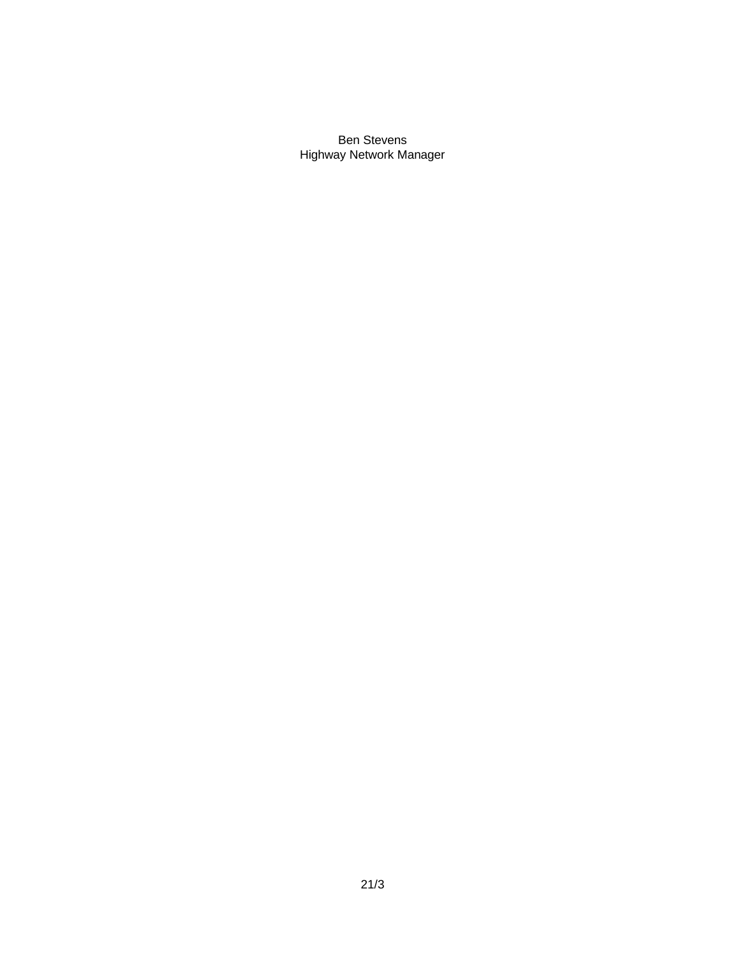Ben Stevens Highway Network Manager